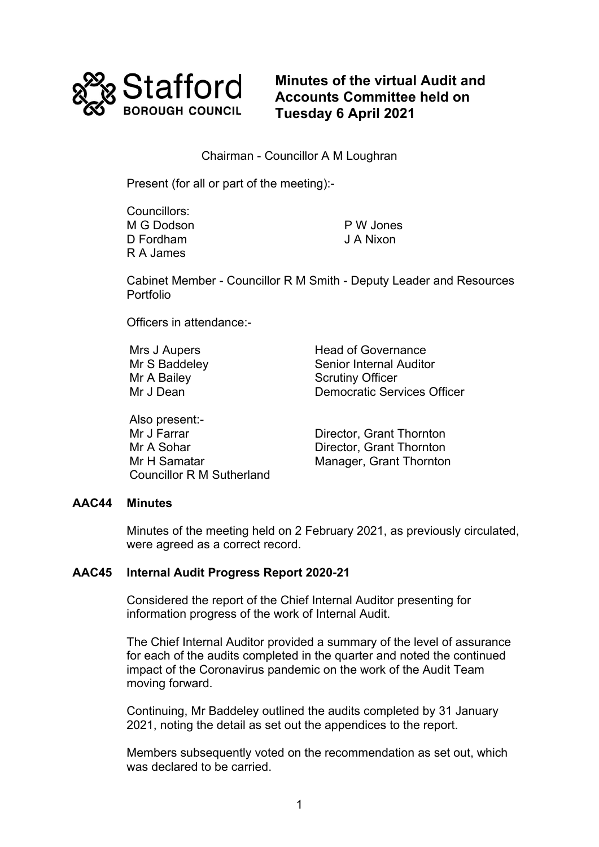

**Minutes of the virtual Audit and Accounts Committee held on Tuesday 6 April 2021**

Chairman - Councillor A M Loughran

Present (for all or part of the meeting):-

Councillors: M G Dodson D Fordham R A James

P W Jones J A Nixon

Cabinet Member - Councillor R M Smith - Deputy Leader and Resources **Portfolio** 

Officers in attendance:-

Also present:- Mr J Farrar **Director, Grant Thornton**<br>Mr A Sohar **Director Grant Thornton** Mr H Samatar Manager, Grant Thornton Councillor R M Sutherland

Mrs J Aupers **Head of Governance** Mr S Baddeley Senior Internal Auditor Mr A Bailey Scrutiny Officer Democratic Services Officer

Director, Grant Thornton

## **AAC44 Minutes**

 Minutes of the meeting held on 2 February 2021, as previously circulated, were agreed as a correct record.

## **AAC45 Internal Audit Progress Report 2020-21**

Considered the report of the Chief Internal Auditor presenting for information progress of the work of Internal Audit.

 The Chief Internal Auditor provided a summary of the level of assurance for each of the audits completed in the quarter and noted the continued impact of the Coronavirus pandemic on the work of the Audit Team moving forward.

Continuing, Mr Baddeley outlined the audits completed by 31 January 2021, noting the detail as set out the appendices to the report.

Members subsequently voted on the recommendation as set out, which was declared to be carried.